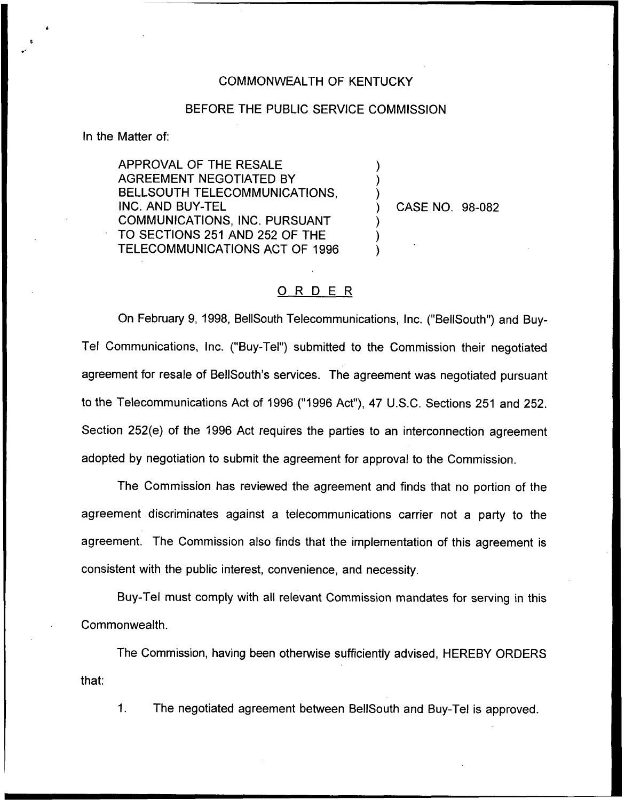## COMMONWEALTH OF KENTUCKY

## BEFORE THE PUBLIC SERVICE COMMISSION

) ) )

) ) )

In the Matter of:

APPROVAL OF THE RESALE AGREEMENT NEGOTIATED BY BELLSOUTH TELECOMMUNICATIONS, INC. AND BUY-TEL COMMUNICATIONS, INC. PURSUANT TO SECTIONS 251 AND 252 OF THE TELECOMMUNICATIONS ACT OF 1996

) CASE NO. 98-082

## ORDER

On February 9, 1998, BellSouth Telecommunications, Inc. ("BellSouth") and Buy-Tel Communications, Inc, ("Buy-Tel") submitted to the Commission their negotiated agreement for resale of BellSouth's services. The agreement was negotiated pursuant to the Telecommunications Act of 1996 ("1996 Act"), 47 U.S.C. Sections 251 and 252. Section 252(e) of the 1996 Act requires the parties to an interconnection agreement adopted by negotiation to submit the agreement for approval to the Commission.

The Commission has reviewed the agreement and finds that no portion of the agreement discriminates against a telecommunications carrier not a party to the agreement. The Commission also finds that the implementation of this agreement is consistent with the public interest, convenience, and necessity.

Buy-Tel must comply with all relevant Commission mandates for serving in this Commonwealth.

The Commission, having been otherwise sufficiently advised, HEREBY ORDERS that:

 $1<sub>1</sub>$ The negotiated agreement between BellSouth and Buy-Tel is approved.